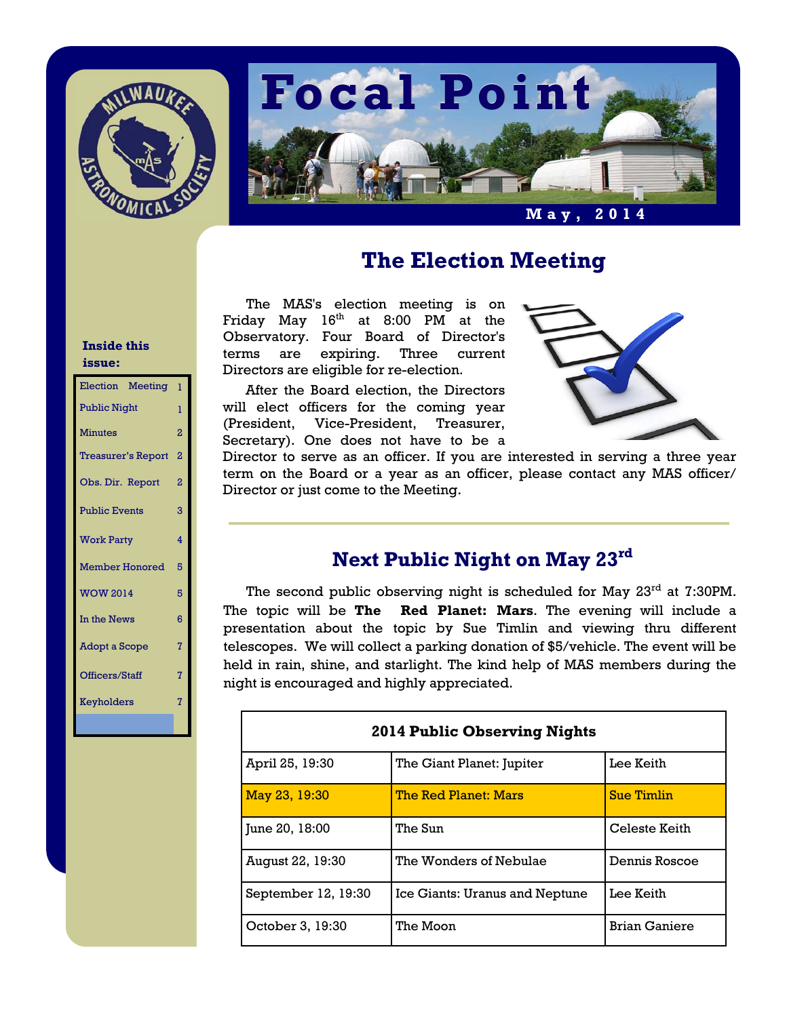



# **The Election Meeting**

 The MAS's election meeting is on Friday May  $16<sup>th</sup>$  at 8:00 PM at the Observatory. Four Board of Director's terms are expiring. Three current Directors are eligible for re-election.

 After the Board election, the Directors will elect officers for the coming year (President, Vice-President, Treasurer, Secretary). One does not have to be a



Director to serve as an officer. If you are interested in serving a three year term on the Board or a year as an officer, please contact any MAS officer/ Director or just come to the Meeting.

# **Next Public Night on May 23rd**

The second public observing night is scheduled for May 23<sup>rd</sup> at 7:30PM. The topic will be **The Red Planet: Mars**. The evening will include a presentation about the topic by Sue Timlin and viewing thru different telescopes. We will collect a parking donation of \$5/vehicle. The event will be held in rain, shine, and starlight. The kind help of MAS members during the night is encouraged and highly appreciated.

| <b>2014 Public Observing Nights</b> |                                |                      |  |
|-------------------------------------|--------------------------------|----------------------|--|
| April 25, 19:30                     | The Giant Planet: Jupiter      | Lee Keith            |  |
| May 23, 19:30                       | The Red Planet: Mars           | <b>Sue Timlin</b>    |  |
| June 20, 18:00                      | The Sun                        | Celeste Keith        |  |
| August 22, 19:30                    | The Wonders of Nebulae         | Dennis Roscoe        |  |
| September 12, 19:30                 | Ice Giants: Uranus and Neptune | Lee Keith            |  |
| October 3, 19:30                    | The Moon                       | <b>Brian Ganiere</b> |  |

#### **Inside this issue:**

| <b>Election Meeting</b> | $\mathbf{1}$   |
|-------------------------|----------------|
| <b>Public Night</b>     | 1              |
| <b>Minutes</b>          | $\overline{2}$ |
| Treasurer's Report      | $\overline{2}$ |
| Obs. Dir. Report        | $\overline{2}$ |
| <b>Public Events</b>    | 3              |
| <b>Work Party</b>       | 4              |
| <b>Member Honored</b>   | 5              |
| <b>WOW 2014</b>         | 5              |
| In the News             | 6              |
| Adopt a Scope           | $\overline{7}$ |
| Officers/Staff          | 7              |
| Keyholders              | 7              |
|                         |                |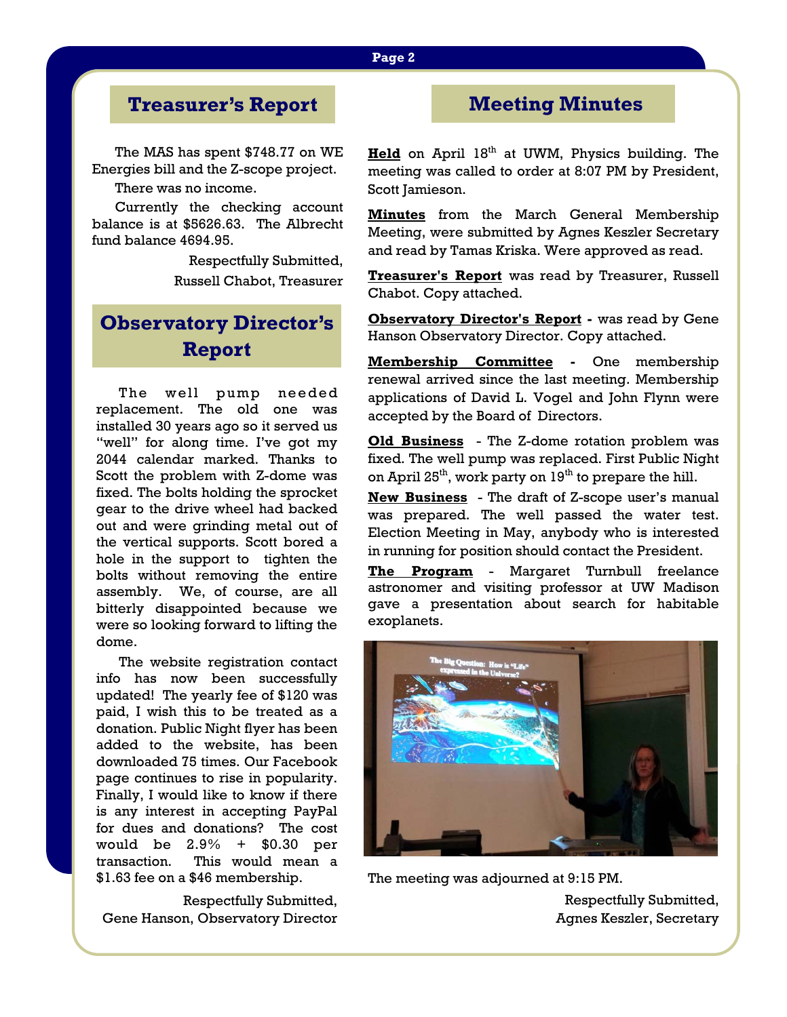#### **Page 2**

## **Treasurer's Report**

The MAS has spent \$748.77 on WE Energies bill and the Z-scope project.

There was no income.

 Currently the checking account balance is at \$5626.63. The Albrecht fund balance 4694.95.

> Respectfully Submitted, Russell Chabot, Treasurer

# **Observatory Director's Report**

The well pump needed replacement. The old one was installed 30 years ago so it served us "well" for along time. I've got my 2044 calendar marked. Thanks to Scott the problem with Z-dome was fixed. The bolts holding the sprocket gear to the drive wheel had backed out and were grinding metal out of the vertical supports. Scott bored a hole in the support to tighten the bolts without removing the entire assembly. We, of course, are all bitterly disappointed because we were so looking forward to lifting the dome.

 The website registration contact info has now been successfully updated! The yearly fee of \$120 was paid, I wish this to be treated as a donation. Public Night flyer has been added to the website, has been downloaded 75 times. Our Facebook page continues to rise in popularity. Finally, I would like to know if there is any interest in accepting PayPal for dues and donations? The cost would be 2.9% + \$0.30 per transaction. This would mean a \$1.63 fee on a \$46 membership.

 Respectfully Submitted, Gene Hanson, Observatory Director

## **Meeting Minutes**

Held on April 18<sup>th</sup> at UWM, Physics building. The meeting was called to order at 8:07 PM by President, Scott Jamieson.

**Minutes** from the March General Membership Meeting, were submitted by Agnes Keszler Secretary and read by Tamas Kriska. Were approved as read.

**Treasurer's Report** was read by Treasurer, Russell Chabot. Copy attached.

**Observatory Director's Report - was read by Gene** Hanson Observatory Director. Copy attached.

**Membership Committee -** One membership renewal arrived since the last meeting. Membership applications of David L. Vogel and John Flynn were accepted by the Board of Directors.

**Old Business** - The Z-dome rotation problem was fixed. The well pump was replaced. First Public Night on April  $25<sup>th</sup>$ , work party on  $19<sup>th</sup>$  to prepare the hill.

**New Business** - The draft of Z-scope user's manual was prepared. The well passed the water test. Election Meeting in May, anybody who is interested in running for position should contact the President.

**The Program** - Margaret Turnbull freelance astronomer and visiting professor at UW Madison gave a presentation about search for habitable exoplanets.



The meeting was adjourned at 9:15 PM.

Respectfully Submitted, Agnes Keszler, Secretary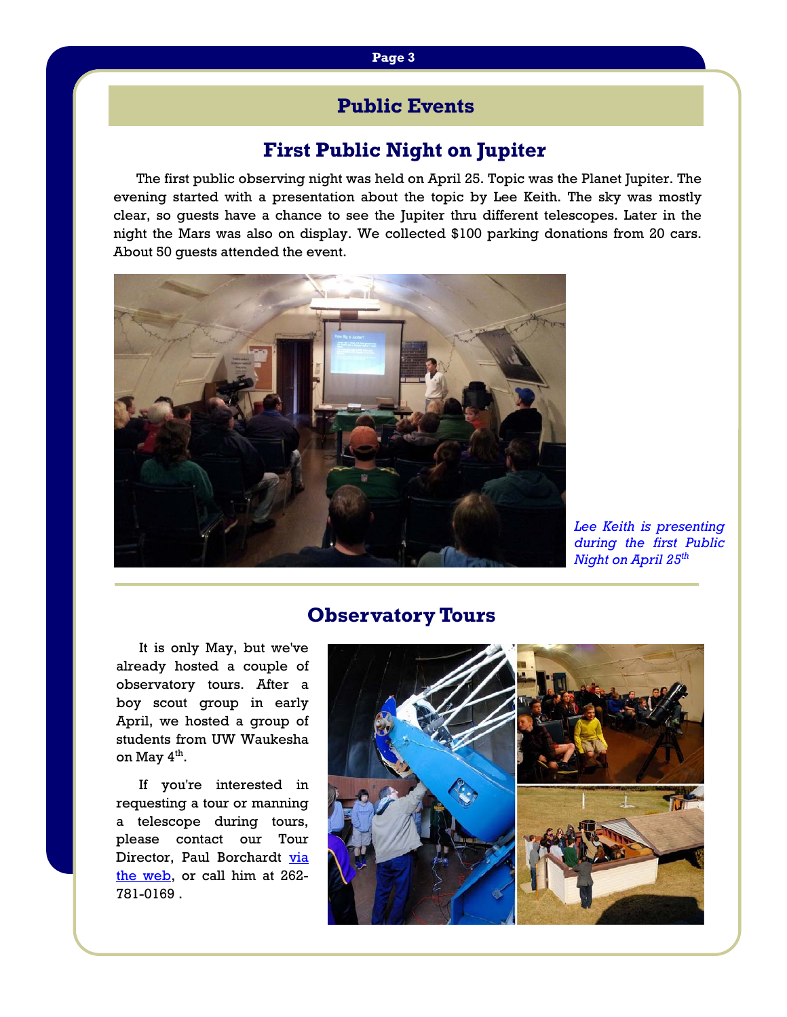#### **Page 3**

# **Public Events**

## **First Public Night on Jupiter**

 The first public observing night was held on April 25. Topic was the Planet Jupiter. The evening started with a presentation about the topic by Lee Keith. The sky was mostly clear, so guests have a chance to see the Jupiter thru different telescopes. Later in the night the Mars was also on display. We collected \$100 parking donations from 20 cars. About 50 guests attended the event.



*Lee Keith is presenting during the first Public Night on April 25th*

## **Observatory Tours**

 It is only May, but we've already hosted a couple of observatory tours. After a boy scout group in early April, we hosted a group of students from UW Waukesha on May  $4^{\text{th}}$ .

 If you're interested in requesting a tour or manning a telescope during tours, please contact our Tour Director, Paul Borchardt via the web, or call him at 262- 781-0169 .

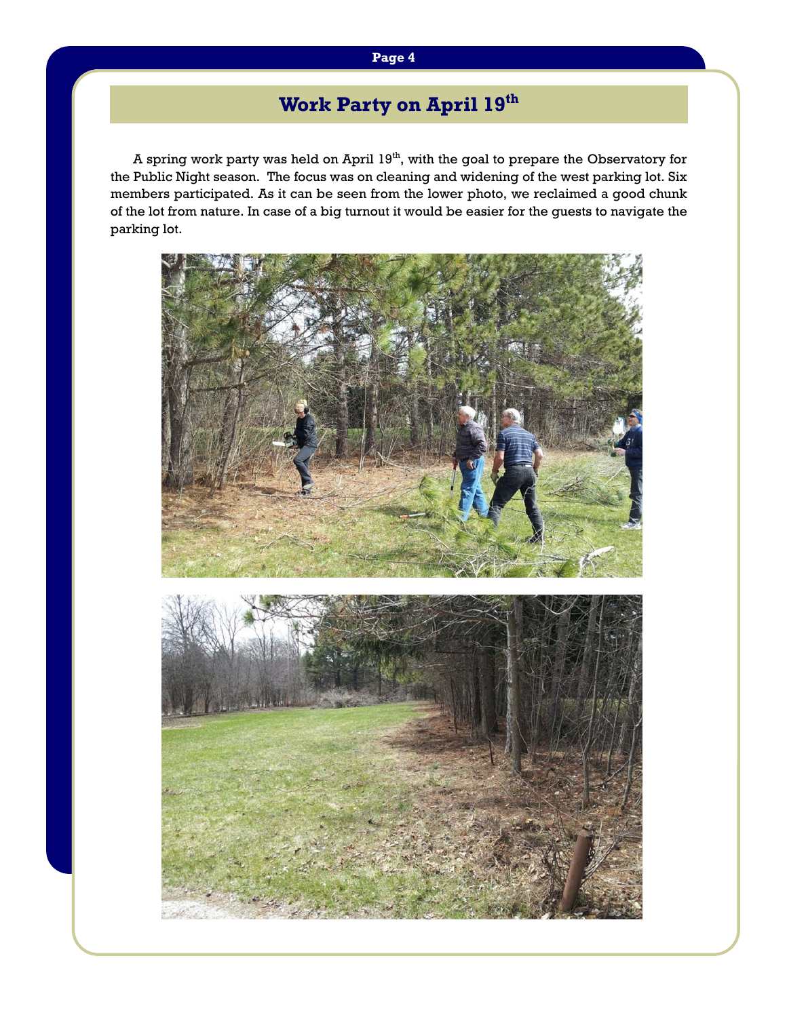# **Work Party on April 19th**

A spring work party was held on April 19<sup>th</sup>, with the goal to prepare the Observatory for the Public Night season. The focus was on cleaning and widening of the west parking lot. Six members participated. As it can be seen from the lower photo, we reclaimed a good chunk of the lot from nature. In case of a big turnout it would be easier for the guests to navigate the parking lot.

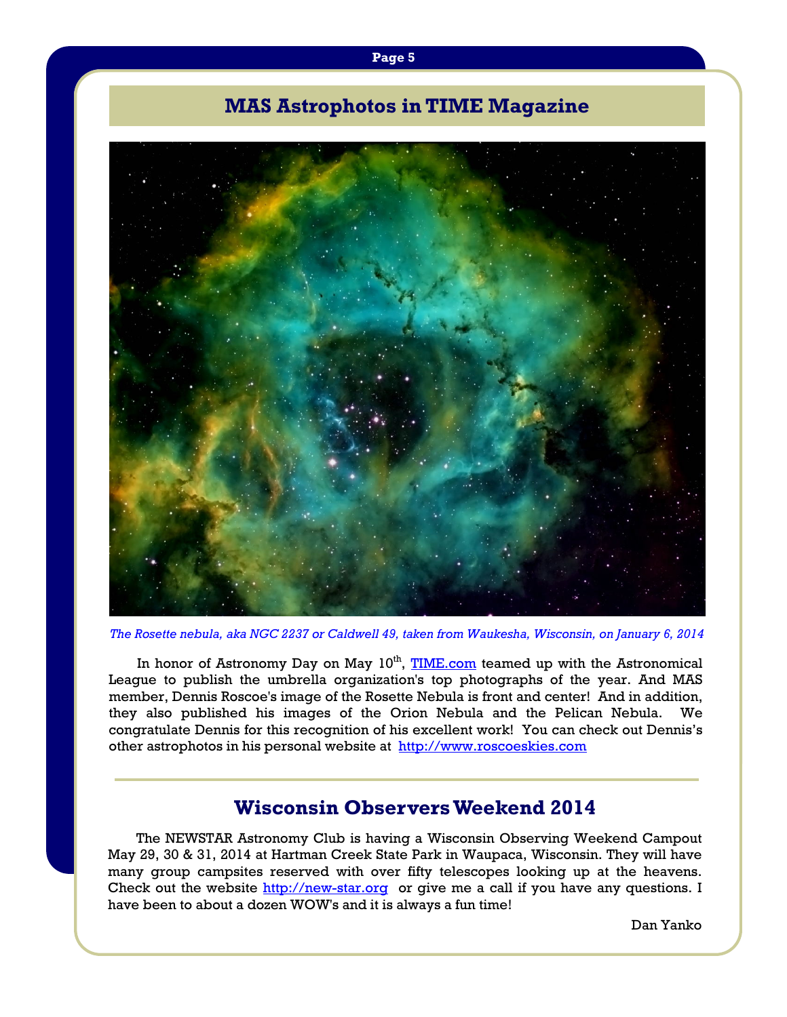#### **Page 5**

# **MAS Astrophotos in TIME Magazine**



*The Rosette nebula, aka NGC 2237 or Caldwell 49, taken from Waukesha, Wisconsin, on January 6, 2014* 

In honor of Astronomy Day on May 10<sup>th</sup>, TIME.com teamed up with the Astronomical League to publish the umbrella organization's top photographs of the year. And MAS member, Dennis Roscoe's image of the Rosette Nebula is front and center! And in addition, they also published his images of the Orion Nebula and the Pelican Nebula. We congratulate Dennis for this recognition of his excellent work! You can check out Dennis's other astrophotos in his personal website at http://www.roscoeskies.com

## **Wisconsin Observers Weekend 2014**

The NEWSTAR Astronomy Club is having a Wisconsin Observing Weekend Campout May 29, 30 & 31, 2014 at Hartman Creek State Park in Waupaca, Wisconsin. They will have many group campsites reserved with over fifty telescopes looking up at the heavens. Check out the website http://new-star.org or give me a call if you have any questions. I have been to about a dozen WOW's and it is always a fun time!

Dan Yanko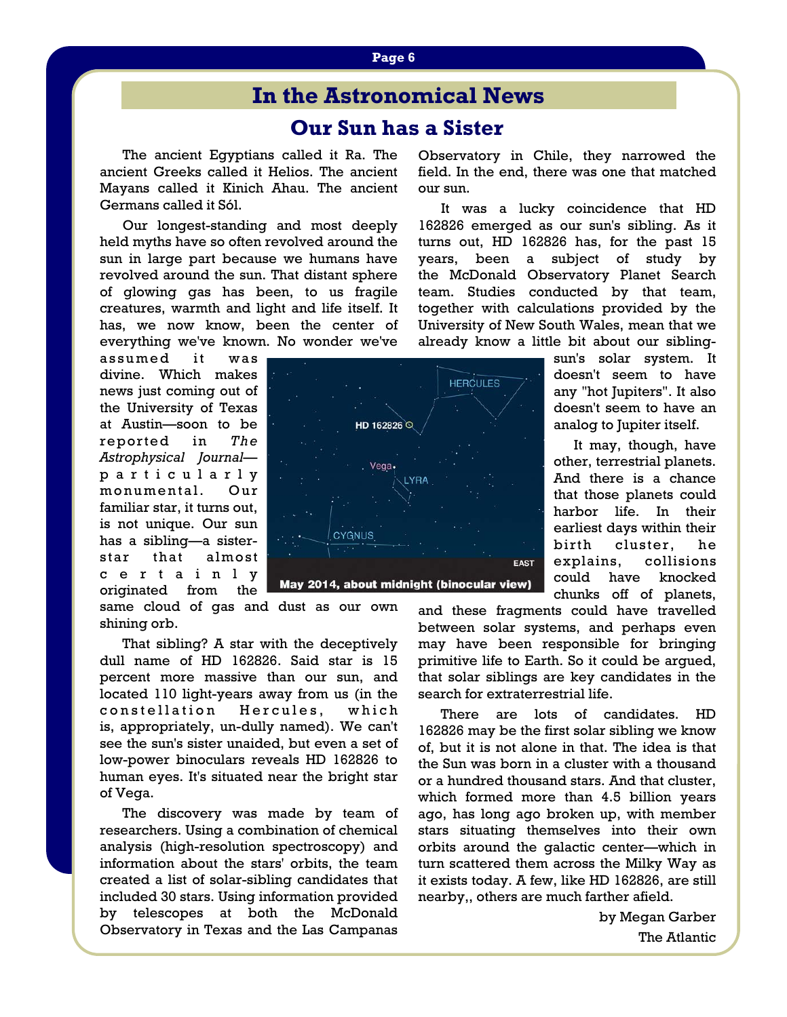# **In the Astronomical News**

**Our Sun has a Sister** 

The ancient Egyptians called it Ra. The ancient Greeks called it Helios. The ancient Mayans called it Kinich Ahau. The ancient Germans called it Sól.

 Our longest-standing and most deeply held myths have so often revolved around the sun in large part because we humans have revolved around the sun. That distant sphere of glowing gas has been, to us fragile creatures, warmth and light and life itself. It has, we now know, been the center of everything we've known. No wonder we've

assumed it was divine. Which makes news just coming out of the University of Texas at Austin—soon to be reported in *The Astrophysical Journal* p a r t i c u l a r l y monumental. Our familiar star, it turns out, is not unique. Our sun has a sibling—a sisterstar that almost c e r t a i n l y originated from the

same cloud of gas and dust as our own shining orb.

 That sibling? A star with the deceptively dull name of HD 162826. Said star is 15 percent more massive than our sun, and located 110 light-years away from us (in the constellation Hercules, which is, appropriately, un-dully named). We can't see the sun's sister unaided, but even a set of low-power binoculars reveals HD 162826 to human eyes. It's situated near the bright star of Vega.

 The discovery was made by team of researchers. Using a combination of chemical analysis (high-resolution spectroscopy) and information about the stars' orbits, the team created a list of solar-sibling candidates that included 30 stars. Using information provided by telescopes at both the McDonald Observatory in Texas and the Las Campanas

Observatory in Chile, they narrowed the field. In the end, there was one that matched

It was a lucky coincidence that HD 162826 emerged as our sun's sibling. As it turns out, HD 162826 has, for the past 15 years, been a subject of study by the McDonald Observatory Planet Search team. Studies conducted by that team, together with calculations provided by the University of New South Wales, mean that we already know a little bit about our sibling-

> sun's solar system. It doesn't seem to have any "hot Jupiters". It also doesn't seem to have an analog to Jupiter itself.

> It may, though, have other, terrestrial planets. And there is a chance that those planets could harbor life. In their earliest days within their birth cluster, he explains, collisions could have knocked chunks off of planets,

and these fragments could have travelled between solar systems, and perhaps even may have been responsible for bringing primitive life to Earth. So it could be argued, that solar siblings are key candidates in the search for extraterrestrial life.

 There are lots of candidates. HD 162826 may be the first solar sibling we know of, but it is not alone in that. The idea is that the Sun was born in a cluster with a thousand or a hundred thousand stars. And that cluster, which formed more than 4.5 billion years ago, has long ago broken up, with member stars situating themselves into their own orbits around the galactic center—which in turn scattered them across the Milky Way as it exists today. A few, like HD 162826, are still nearby,, others are much farther afield.

> by Megan Garber The Atlantic

**HERCULES** HD 162826 Vega. **CYGNUS EAST** May 2014, about midnight (binocular view)